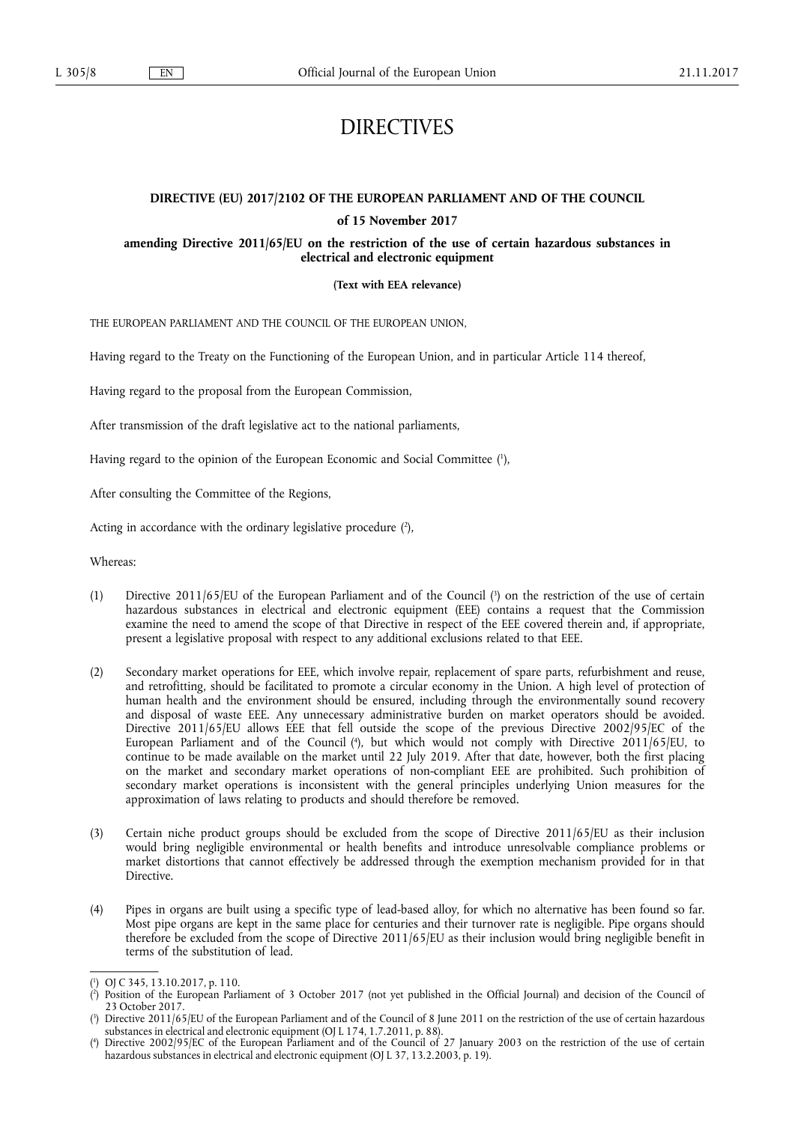# DIRECTIVES

## **DIRECTIVE (EU) 2017/2102 OF THE EUROPEAN PARLIAMENT AND OF THE COUNCIL**

#### **of 15 November 2017**

**amending Directive 2011/65/EU on the restriction of the use of certain hazardous substances in electrical and electronic equipment** 

**(Text with EEA relevance)** 

THE EUROPEAN PARLIAMENT AND THE COUNCIL OF THE EUROPEAN UNION,

Having regard to the Treaty on the Functioning of the European Union, and in particular Article 114 thereof,

Having regard to the proposal from the European Commission,

After transmission of the draft legislative act to the national parliaments,

Having regard to the opinion of the European Economic and Social Committee ( 1 ),

After consulting the Committee of the Regions,

Acting in accordance with the ordinary legislative procedure (2),

Whereas:

- (1) Directive 2011/65/EU of the European Parliament and of the Council ( 3 ) on the restriction of the use of certain hazardous substances in electrical and electronic equipment (EEE) contains a request that the Commission examine the need to amend the scope of that Directive in respect of the EEE covered therein and, if appropriate, present a legislative proposal with respect to any additional exclusions related to that EEE.
- (2) Secondary market operations for EEE, which involve repair, replacement of spare parts, refurbishment and reuse, and retrofitting, should be facilitated to promote a circular economy in the Union. A high level of protection of human health and the environment should be ensured, including through the environmentally sound recovery and disposal of waste EEE. Any unnecessary administrative burden on market operators should be avoided. Directive 2011/65/EU allows EEE that fell outside the scope of the previous Directive 2002/95/EC of the European Parliament and of the Council ( 4 ), but which would not comply with Directive 2011/65/EU, to continue to be made available on the market until 22 July 2019. After that date, however, both the first placing on the market and secondary market operations of non-compliant EEE are prohibited. Such prohibition of secondary market operations is inconsistent with the general principles underlying Union measures for the approximation of laws relating to products and should therefore be removed.
- (3) Certain niche product groups should be excluded from the scope of Directive 2011/65/EU as their inclusion would bring negligible environmental or health benefits and introduce unresolvable compliance problems or market distortions that cannot effectively be addressed through the exemption mechanism provided for in that **Directive**
- (4) Pipes in organs are built using a specific type of lead-based alloy, for which no alternative has been found so far. Most pipe organs are kept in the same place for centuries and their turnover rate is negligible. Pipe organs should therefore be excluded from the scope of Directive 2011/65/EU as their inclusion would bring negligible benefit in terms of the substitution of lead.

<sup>(</sup> 1 ) OJ C 345, 13.10.2017, p. 110.

<sup>(</sup> 2 ) Position of the European Parliament of 3 October 2017 (not yet published in the Official Journal) and decision of the Council of 23 October 2017.

<sup>(</sup> 3 ) Directive 2011/65/EU of the European Parliament and of the Council of 8 June 2011 on the restriction of the use of certain hazardous substances in electrical and electronic equipment (OJ L 174, 1.7.2011, p. 88).

<sup>(</sup> 4 ) Directive 2002/95/EC of the European Parliament and of the Council of 27 January 2003 on the restriction of the use of certain hazardous substances in electrical and electronic equipment (OJ L 37, 13.2.2003, p. 19).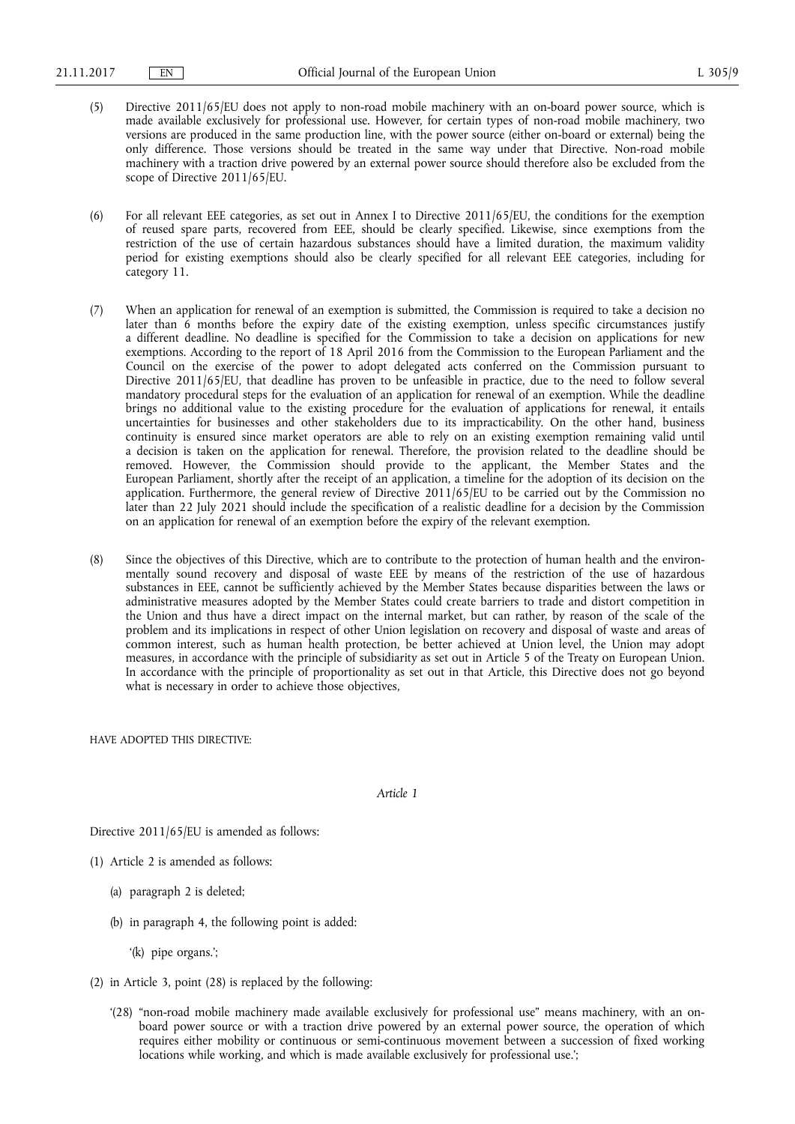- (5) Directive 2011/65/EU does not apply to non-road mobile machinery with an on-board power source, which is made available exclusively for professional use. However, for certain types of non-road mobile machinery, two versions are produced in the same production line, with the power source (either on-board or external) being the only difference. Those versions should be treated in the same way under that Directive. Non-road mobile machinery with a traction drive powered by an external power source should therefore also be excluded from the scope of Directive 2011/65/EU.
- (6) For all relevant EEE categories, as set out in Annex I to Directive 2011/65/EU, the conditions for the exemption of reused spare parts, recovered from EEE, should be clearly specified. Likewise, since exemptions from the restriction of the use of certain hazardous substances should have a limited duration, the maximum validity period for existing exemptions should also be clearly specified for all relevant EEE categories, including for category 11.
- (7) When an application for renewal of an exemption is submitted, the Commission is required to take a decision no later than 6 months before the expiry date of the existing exemption, unless specific circumstances justify a different deadline. No deadline is specified for the Commission to take a decision on applications for new exemptions. According to the report of 18 April 2016 from the Commission to the European Parliament and the Council on the exercise of the power to adopt delegated acts conferred on the Commission pursuant to Directive 2011/65/EU, that deadline has proven to be unfeasible in practice, due to the need to follow several mandatory procedural steps for the evaluation of an application for renewal of an exemption. While the deadline brings no additional value to the existing procedure for the evaluation of applications for renewal, it entails uncertainties for businesses and other stakeholders due to its impracticability. On the other hand, business continuity is ensured since market operators are able to rely on an existing exemption remaining valid until a decision is taken on the application for renewal. Therefore, the provision related to the deadline should be removed. However, the Commission should provide to the applicant, the Member States and the European Parliament, shortly after the receipt of an application, a timeline for the adoption of its decision on the application. Furthermore, the general review of Directive 2011/65/EU to be carried out by the Commission no later than 22 July 2021 should include the specification of a realistic deadline for a decision by the Commission on an application for renewal of an exemption before the expiry of the relevant exemption.
- (8) Since the objectives of this Directive, which are to contribute to the protection of human health and the environmentally sound recovery and disposal of waste EEE by means of the restriction of the use of hazardous substances in EEE, cannot be sufficiently achieved by the Member States because disparities between the laws or administrative measures adopted by the Member States could create barriers to trade and distort competition in the Union and thus have a direct impact on the internal market, but can rather, by reason of the scale of the problem and its implications in respect of other Union legislation on recovery and disposal of waste and areas of common interest, such as human health protection, be better achieved at Union level, the Union may adopt measures, in accordance with the principle of subsidiarity as set out in Article 5 of the Treaty on European Union. In accordance with the principle of proportionality as set out in that Article, this Directive does not go beyond what is necessary in order to achieve those objectives,

HAVE ADOPTED THIS DIRECTIVE:

*Article 1* 

Directive 2011/65/EU is amended as follows:

- (1) Article 2 is amended as follows:
	- (a) paragraph 2 is deleted;
	- (b) in paragraph 4, the following point is added:
		- '(k) pipe organs.';
- (2) in Article 3, point (28) is replaced by the following:
	- '(28) "non-road mobile machinery made available exclusively for professional use" means machinery, with an onboard power source or with a traction drive powered by an external power source, the operation of which requires either mobility or continuous or semi-continuous movement between a succession of fixed working locations while working, and which is made available exclusively for professional use.';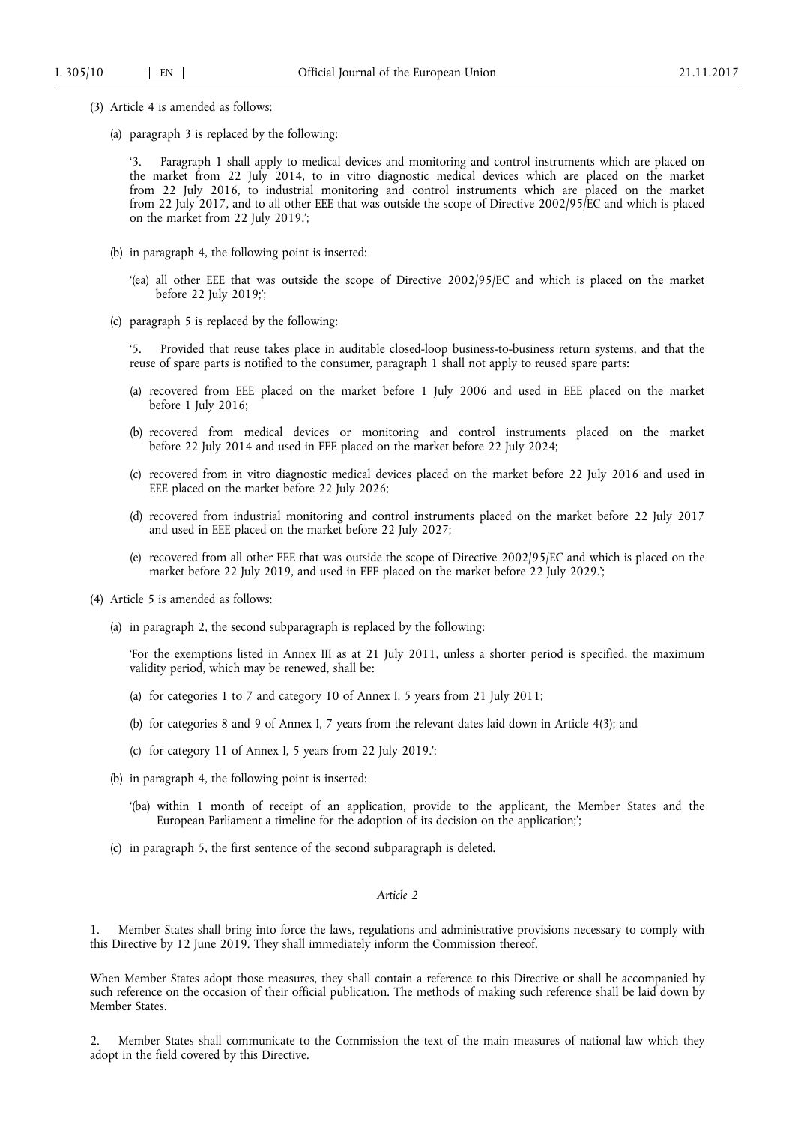- (3) Article 4 is amended as follows:
	- (a) paragraph 3 is replaced by the following:

'3. Paragraph 1 shall apply to medical devices and monitoring and control instruments which are placed on the market from 22 July 2014, to in vitro diagnostic medical devices which are placed on the market from 22 July 2016, to industrial monitoring and control instruments which are placed on the market from 22 July 2017, and to all other EEE that was outside the scope of Directive 2002/95/EC and which is placed on the market from 22 July 2019.';

- (b) in paragraph 4, the following point is inserted:
	- '(ea) all other EEE that was outside the scope of Directive 2002/95/EC and which is placed on the market before 22 July 2019;';
- (c) paragraph 5 is replaced by the following:

'5. Provided that reuse takes place in auditable closed-loop business-to-business return systems, and that the reuse of spare parts is notified to the consumer, paragraph 1 shall not apply to reused spare parts:

- (a) recovered from EEE placed on the market before 1 July 2006 and used in EEE placed on the market before 1 July 2016;
- (b) recovered from medical devices or monitoring and control instruments placed on the market before 22 July 2014 and used in EEE placed on the market before 22 July 2024;
- (c) recovered from in vitro diagnostic medical devices placed on the market before 22 July 2016 and used in EEE placed on the market before 22 July 2026;
- (d) recovered from industrial monitoring and control instruments placed on the market before 22 July 2017 and used in EEE placed on the market before 22 July 2027;
- (e) recovered from all other EEE that was outside the scope of Directive 2002/95/EC and which is placed on the market before 22 July 2019, and used in EEE placed on the market before 22 July 2029.';
- (4) Article 5 is amended as follows:
	- (a) in paragraph 2, the second subparagraph is replaced by the following:

'For the exemptions listed in Annex III as at 21 July 2011, unless a shorter period is specified, the maximum validity period, which may be renewed, shall be:

- (a) for categories 1 to 7 and category 10 of Annex I, 5 years from 21 July 2011;
- (b) for categories 8 and 9 of Annex I, 7 years from the relevant dates laid down in Article 4(3); and
- (c) for category 11 of Annex I, 5 years from 22 July 2019.';
- (b) in paragraph 4, the following point is inserted:
	- '(ba) within 1 month of receipt of an application, provide to the applicant, the Member States and the European Parliament a timeline for the adoption of its decision on the application;';
- (c) in paragraph 5, the first sentence of the second subparagraph is deleted.

#### *Article 2*

1. Member States shall bring into force the laws, regulations and administrative provisions necessary to comply with this Directive by 12 June 2019. They shall immediately inform the Commission thereof.

When Member States adopt those measures, they shall contain a reference to this Directive or shall be accompanied by such reference on the occasion of their official publication. The methods of making such reference shall be laid down by Member States.

2. Member States shall communicate to the Commission the text of the main measures of national law which they adopt in the field covered by this Directive.